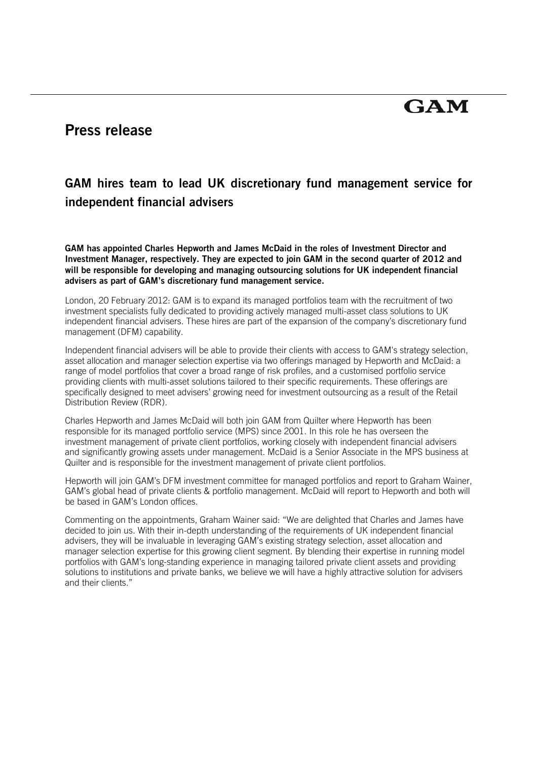# **GAM**

## **Press release**

### **GAM hires team to lead UK discretionary fund management service for independent financial advisers**

**GAM has appointed Charles Hepworth and James McDaid in the roles of Investment Director and Investment Manager, respectively. They are expected to join GAM in the second quarter of 2012 and will be responsible for developing and managing outsourcing solutions for UK independent financial advisers as part of GAM's discretionary fund management service.** 

London, 20 February 2012: GAM is to expand its managed portfolios team with the recruitment of two investment specialists fully dedicated to providing actively managed multi-asset class solutions to UK independent financial advisers. These hires are part of the expansion of the company's discretionary fund management (DFM) capability.

Independent financial advisers will be able to provide their clients with access to GAM's strategy selection, asset allocation and manager selection expertise via two offerings managed by Hepworth and McDaid: a range of model portfolios that cover a broad range of risk profiles, and a customised portfolio service providing clients with multi-asset solutions tailored to their specific requirements. These offerings are specifically designed to meet advisers' growing need for investment outsourcing as a result of the Retail Distribution Review (RDR).

Charles Hepworth and James McDaid will both join GAM from Quilter where Hepworth has been responsible for its managed portfolio service (MPS) since 2001. In this role he has overseen the investment management of private client portfolios, working closely with independent financial advisers and significantly growing assets under management. McDaid is a Senior Associate in the MPS business at Quilter and is responsible for the investment management of private client portfolios.

Hepworth will join GAM's DFM investment committee for managed portfolios and report to Graham Wainer, GAM's global head of private clients & portfolio management. McDaid will report to Hepworth and both will be based in GAM's London offices.

Commenting on the appointments, Graham Wainer said: "We are delighted that Charles and James have decided to join us. With their in-depth understanding of the requirements of UK independent financial advisers, they will be invaluable in leveraging GAM's existing strategy selection, asset allocation and manager selection expertise for this growing client segment. By blending their expertise in running model portfolios with GAM's long-standing experience in managing tailored private client assets and providing solutions to institutions and private banks, we believe we will have a highly attractive solution for advisers and their clients."